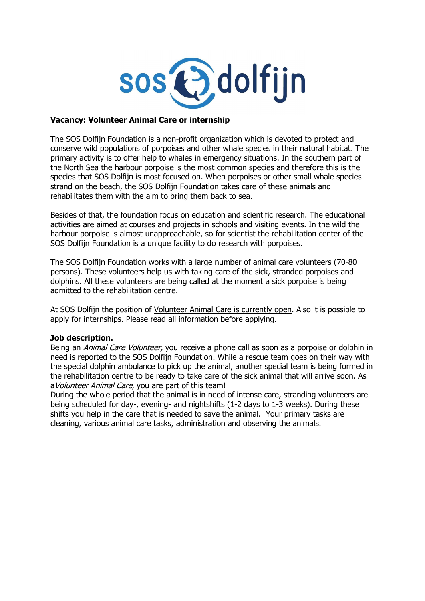

## **Vacancy: Volunteer Animal Care or internship**

The SOS Dolfijn Foundation is a non-profit organization which is devoted to protect and conserve wild populations of porpoises and other whale species in their natural habitat. The primary activity is to offer help to whales in emergency situations. In the southern part of the North Sea the harbour porpoise is the most common species and therefore this is the species that SOS Dolfijn is most focused on. When porpoises or other small whale species strand on the beach, the SOS Dolfijn Foundation takes care of these animals and rehabilitates them with the aim to bring them back to sea.

Besides of that, the foundation focus on education and scientific research. The educational activities are aimed at courses and projects in schools and visiting events. In the wild the harbour porpoise is almost unapproachable, so for scientist the rehabilitation center of the SOS Dolfijn Foundation is a unique facility to do research with porpoises.

The SOS Dolfijn Foundation works with a large number of animal care volunteers (70-80 persons). These volunteers help us with taking care of the sick, stranded porpoises and dolphins. All these volunteers are being called at the moment a sick porpoise is being admitted to the rehabilitation centre.

At SOS Dolfijn the position of Volunteer Animal Care is currently open. Also it is possible to apply for internships. Please read all information before applying.

## **Job description.**

Being an *Animal Care Volunteer*, you receive a phone call as soon as a porpoise or dolphin in need is reported to the SOS Dolfijn Foundation. While a rescue team goes on their way with the special dolphin ambulance to pick up the animal, another special team is being formed in the rehabilitation centre to be ready to take care of the sick animal that will arrive soon. As a Volunteer Animal Care, you are part of this team!

During the whole period that the animal is in need of intense care, stranding volunteers are being scheduled for day-, evening- and nightshifts (1-2 days to 1-3 weeks). During these shifts you help in the care that is needed to save the animal. Your primary tasks are cleaning, various animal care tasks, administration and observing the animals.